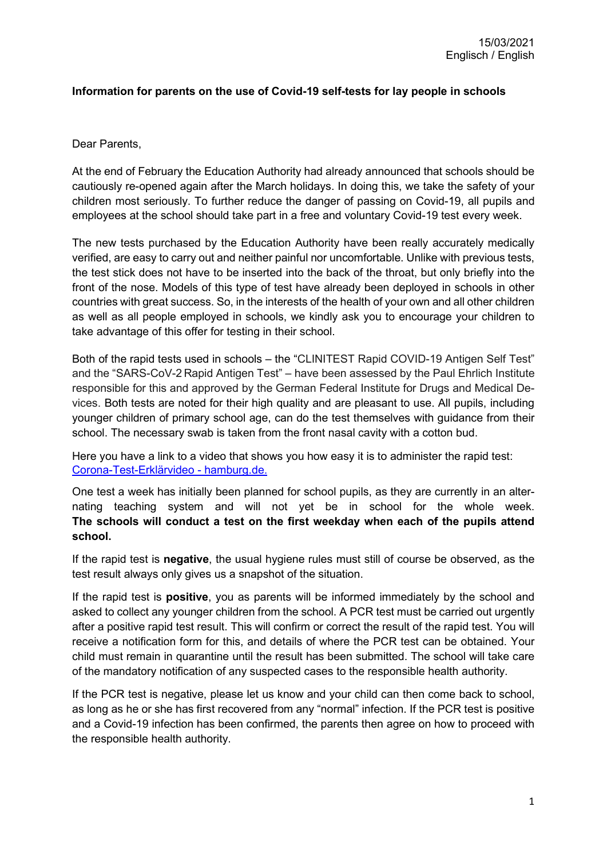## **Information for parents on the use of Covid-19 self-tests for lay people in schools**

Dear Parents,

At the end of February the Education Authority had already announced that schools should be cautiously re-opened again after the March holidays. In doing this, we take the safety of your children most seriously. To further reduce the danger of passing on Covid-19, all pupils and employees at the school should take part in a free and voluntary Covid-19 test every week.

The new tests purchased by the Education Authority have been really accurately medically verified, are easy to carry out and neither painful nor uncomfortable. Unlike with previous tests, the test stick does not have to be inserted into the back of the throat, but only briefly into the front of the nose. Models of this type of test have already been deployed in schools in other countries with great success. So, in the interests of the health of your own and all other children as well as all people employed in schools, we kindly ask you to encourage your children to take advantage of this offer for testing in their school.

Both of the rapid tests used in schools – the "CLINITEST Rapid COVID-19 Antigen Self Test" and the "SARS-CoV-2 Rapid Antigen Test" – have been assessed by the Paul Ehrlich Institute responsible for this and approved by the German Federal Institute for Drugs and Medical Devices. Both tests are noted for their high quality and are pleasant to use. All pupils, including younger children of primary school age, can do the test themselves with guidance from their school. The necessary swab is taken from the front nasal cavity with a cotton bud.

Here you have a link to a video that shows you how easy it is to administer the rapid test: [Corona-Test-Erklärvideo -](https://www.hamburg.de/coronatest-erklaervideo/) hamburg.de.

One test a week has initially been planned for school pupils, as they are currently in an alternating teaching system and will not yet be in school for the whole week. **The schools will conduct a test on the first weekday when each of the pupils attend school.** 

If the rapid test is **negative**, the usual hygiene rules must still of course be observed, as the test result always only gives us a snapshot of the situation.

If the rapid test is **positive**, you as parents will be informed immediately by the school and asked to collect any younger children from the school. A PCR test must be carried out urgently after a positive rapid test result. This will confirm or correct the result of the rapid test. You will receive a notification form for this, and details of where the PCR test can be obtained. Your child must remain in quarantine until the result has been submitted. The school will take care of the mandatory notification of any suspected cases to the responsible health authority.

If the PCR test is negative, please let us know and your child can then come back to school, as long as he or she has first recovered from any "normal" infection. If the PCR test is positive and a Covid-19 infection has been confirmed, the parents then agree on how to proceed with the responsible health authority.